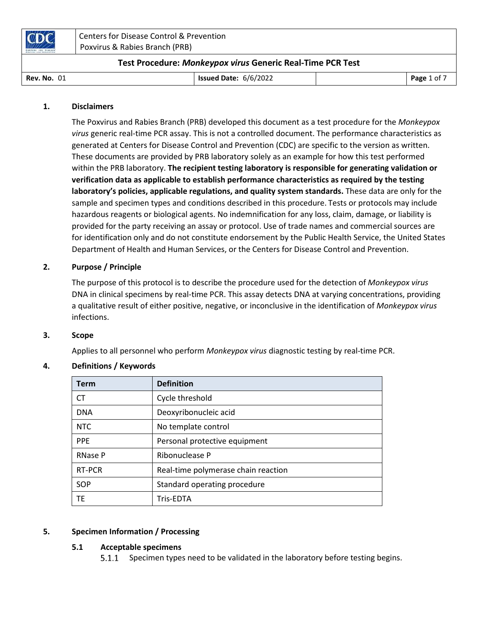| CDC                | Centers for Disease Control & Prevention<br>Poxvirus & Rabies Branch (PRB) |                                                            |  |             |
|--------------------|----------------------------------------------------------------------------|------------------------------------------------------------|--|-------------|
|                    |                                                                            | Test Procedure: Monkeypox virus Generic Real-Time PCR Test |  |             |
| <b>Rev. No. 01</b> |                                                                            | <b>Issued Date: <math>6/6/2022</math></b>                  |  | Page 1 of 7 |

#### 1. Disclaimers

The Poxvirus and Rabies Branch (PRB) developed this document as a test procedure for the Monkeypox virus generic real-time PCR assay. This is not a controlled document. The performance characteristics as generated at Centers for Disease Control and Prevention (CDC) are specific to the version as written. These documents are provided by PRB laboratory solely as an example for how this test performed within the PRB laboratory. The recipient testing laboratory is responsible for generating validation or verification data as applicable to establish performance characteristics as required by the testing laboratory's policies, applicable regulations, and quality system standards. These data are only for the sample and specimen types and conditions described in this procedure. Tests or protocols may include hazardous reagents or biological agents. No indemnification for any loss, claim, damage, or liability is provided for the party receiving an assay or protocol. Use of trade names and commercial sources are for identification only and do not constitute endorsement by the Public Health Service, the United States Department of Health and Human Services, or the Centers for Disease Control and Prevention.

#### 2. Purpose / Principle

The purpose of this protocol is to describe the procedure used for the detection of Monkeypox virus DNA in clinical specimens by real-time PCR. This assay detects DNA at varying concentrations, providing a qualitative result of either positive, negative, or inconclusive in the identification of Monkeypox virus infections.

#### 3. Scope

Applies to all personnel who perform Monkeypox virus diagnostic testing by real-time PCR.

#### 4. Definitions / Keywords

| <b>Term</b>    | <b>Definition</b>                   |
|----------------|-------------------------------------|
| СT             | Cycle threshold                     |
| <b>DNA</b>     | Deoxyribonucleic acid               |
| <b>NTC</b>     | No template control                 |
| <b>PPE</b>     | Personal protective equipment       |
| <b>RNase P</b> | Ribonuclease P                      |
| RT-PCR         | Real-time polymerase chain reaction |
| SOP            | Standard operating procedure        |
| TE.            | Tris-EDTA                           |

#### 5. Specimen Information / Processing

## 5.1 Acceptable specimens

Specimen types need to be validated in the laboratory before testing begins.  $5.1.1$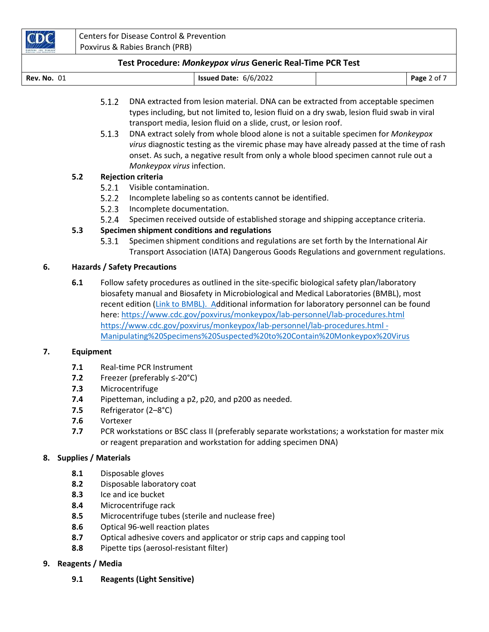| <b>Rev. No. 01</b> | <b>Issued Date: 6/6/2022</b> | Page 2 of |
|--------------------|------------------------------|-----------|
|                    |                              |           |

- $5.1.2$ DNA extracted from lesion material. DNA can be extracted from acceptable specimen types including, but not limited to, lesion fluid on a dry swab, lesion fluid swab in viral transport media, lesion fluid on a slide, crust, or lesion roof.
- $5.1.3$ DNA extract solely from whole blood alone is not a suitable specimen for Monkeypox virus diagnostic testing as the viremic phase may have already passed at the time of rash onset. As such, a negative result from only a whole blood specimen cannot rule out a Monkeypox virus infection.

## 5.2 Rejection criteria

- 5.2.1 Visible contamination.
- $5.2.2$ Incomplete labeling so as contents cannot be identified.
- 5.2.3 Incomplete documentation.
- $5.2.4$ Specimen received outside of established storage and shipping acceptance criteria.

# 5.3 Specimen shipment conditions and regulations

 $5.3.1$ Specimen shipment conditions and regulations are set forth by the International Air Transport Association (IATA) Dangerous Goods Regulations and government regulations.

# 6. Hazards / Safety Precautions

6.1 Follow safety procedures as outlined in the site-specific biological safety plan/laboratory biosafety manual and Biosafety in Microbiological and Medical Laboratories (BMBL), most recent edition (Link to BMBL). Additional information for laboratory personnel can be found here: https://www.cdc.gov/poxvirus/monkeypox/lab-personnel/lab-procedures.html https://www.cdc.gov/poxvirus/monkeypox/lab-personnel/lab-procedures.html - Manipulating%20Specimens%20Suspected%20to%20Contain%20Monkeypox%20Virus

## 7. Equipment

- 7.1 Real-time PCR Instrument
- 7.2 Freezer (preferably ≤-20°C)
- 7.3 Microcentrifuge
- 7.4 Pipetteman, including a p2, p20, and p200 as needed.
- 7.5 Refrigerator (2–8°C)
- 7.6 Vortexer
- 7.7 PCR workstations or BSC class II (preferably separate workstations; a workstation for master mix or reagent preparation and workstation for adding specimen DNA)

## 8. Supplies / Materials

- 8.1 Disposable gloves
- 8.2 Disposable laboratory coat
- 8.3 Ice and ice bucket
- 8.4 Microcentrifuge rack
- 8.5 Microcentrifuge tubes (sterile and nuclease free)
- 8.6 Optical 96-well reaction plates
- 8.7 Optical adhesive covers and applicator or strip caps and capping tool
- 8.8 Pipette tips (aerosol-resistant filter)

## 9. Reagents / Media

9.1 Reagents (Light Sensitive)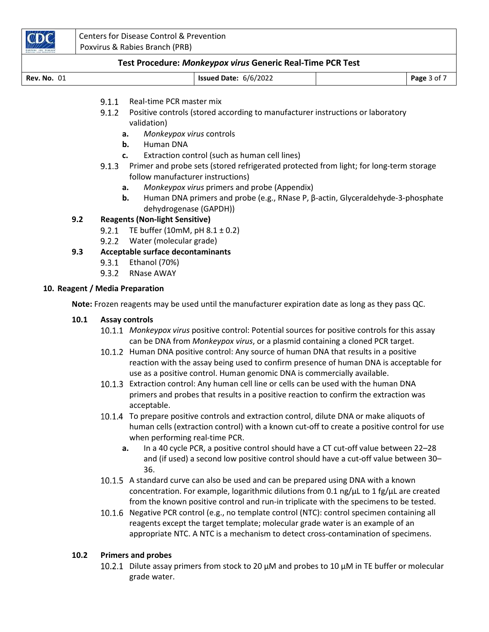

| <b>Rev. No. 01</b> | <b>Issued Date: 6/6/2022</b> |  | Page 3 of 7 |
|--------------------|------------------------------|--|-------------|
|--------------------|------------------------------|--|-------------|

- $9.1.1$ Real-time PCR master mix
- 9.1.2 Positive controls (stored according to manufacturer instructions or laboratory validation)
	- a. Monkeypox virus controls
	- **b.** Human DNA
	- c. Extraction control (such as human cell lines)
- 9.1.3 Primer and probe sets (stored refrigerated protected from light; for long-term storage follow manufacturer instructions)
	- a. Monkeypox virus primers and probe (Appendix)
	- b. Human DNA primers and probe (e.g., RNase P, β-actin, Glyceraldehyde-3-phosphate dehydrogenase (GAPDH))

# 9.2 Reagents (Non-light Sensitive)

- 9.2.1 TE buffer (10mM, pH  $8.1 \pm 0.2$ )
- Water (molecular grade)

# 9.3 Acceptable surface decontaminants

- $9.3.1$ Ethanol (70%)
- $9.3.2$ RNase AWAY

## 10. Reagent / Media Preparation

Note: Frozen reagents may be used until the manufacturer expiration date as long as they pass QC.

## 10.1 Assay controls

- 10.1.1 Monkeypox virus positive control: Potential sources for positive controls for this assay can be DNA from Monkeypox virus, or a plasmid containing a cloned PCR target.
- 10.1.2 Human DNA positive control: Any source of human DNA that results in a positive reaction with the assay being used to confirm presence of human DNA is acceptable for use as a positive control. Human genomic DNA is commercially available.
- Extraction control: Any human cell line or cells can be used with the human DNA primers and probes that results in a positive reaction to confirm the extraction was acceptable.
- 10.1.4 To prepare positive controls and extraction control, dilute DNA or make aliquots of human cells (extraction control) with a known cut-off to create a positive control for use when performing real-time PCR.
	- a. In a 40 cycle PCR, a positive control should have a CT cut-off value between 22–28 and (if used) a second low positive control should have a cut-off value between 30– 36.
- 10.1.5 A standard curve can also be used and can be prepared using DNA with a known concentration. For example, logarithmic dilutions from 0.1 ng/ $\mu$ L to 1 fg/ $\mu$ L are created from the known positive control and run-in triplicate with the specimens to be tested.
- 10.1.6 Negative PCR control (e.g., no template control (NTC): control specimen containing all reagents except the target template; molecular grade water is an example of an appropriate NTC. A NTC is a mechanism to detect cross-contamination of specimens.

# 10.2 Primers and probes

10.2.1 Dilute assay primers from stock to 20  $\mu$ M and probes to 10  $\mu$ M in TE buffer or molecular grade water.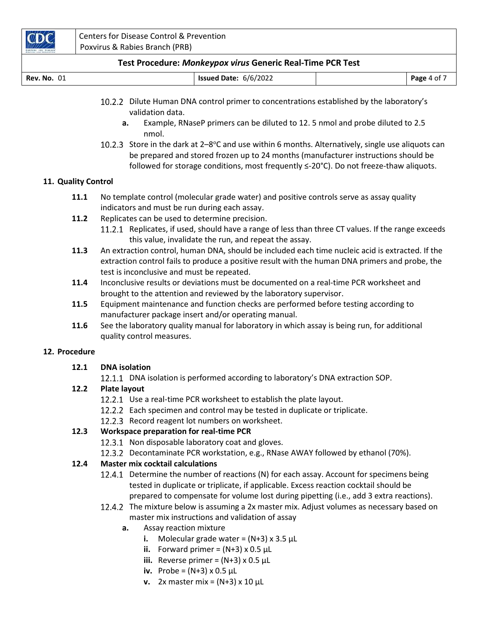

| <b>Rev. No. 01</b> | <b>Issued Date: 6/6/2022</b> | Page 4 of 7 |
|--------------------|------------------------------|-------------|
|                    |                              |             |

- Dilute Human DNA control primer to concentrations established by the laboratory's validation data.
	- a. Example, RNaseP primers can be diluted to 12. 5 nmol and probe diluted to 2.5 nmol.
- 10.2.3 Store in the dark at  $2-8$ °C and use within 6 months. Alternatively, single use aliquots can be prepared and stored frozen up to 24 months (manufacturer instructions should be followed for storage conditions, most frequently ≤-20°C). Do not freeze-thaw aliquots.

## 11. Quality Control

- 11.1 No template control (molecular grade water) and positive controls serve as assay quality indicators and must be run during each assay.
- 11.2 Replicates can be used to determine precision.
	- 11.2.1 Replicates, if used, should have a range of less than three CT values. If the range exceeds this value, invalidate the run, and repeat the assay.
- 11.3 An extraction control, human DNA, should be included each time nucleic acid is extracted. If the extraction control fails to produce a positive result with the human DNA primers and probe, the test is inconclusive and must be repeated.
- 11.4 Inconclusive results or deviations must be documented on a real-time PCR worksheet and brought to the attention and reviewed by the laboratory supervisor.
- 11.5 Equipment maintenance and function checks are performed before testing according to manufacturer package insert and/or operating manual.
- 11.6 See the laboratory quality manual for laboratory in which assay is being run, for additional quality control measures.

#### 12. Procedure

## 12.1 DNA isolation

12.1.1 DNA isolation is performed according to laboratory's DNA extraction SOP.

## 12.2 Plate layout

- 12.2.1 Use a real-time PCR worksheet to establish the plate layout.
- 12.2.2 Each specimen and control may be tested in duplicate or triplicate.
- 12.2.3 Record reagent lot numbers on worksheet.

# 12.3 Workspace preparation for real-time PCR

12.3.1 Non disposable laboratory coat and gloves.

12.3.2 Decontaminate PCR workstation, e.g., RNase AWAY followed by ethanol (70%).

## 12.4 Master mix cocktail calculations

- 12.4.1 Determine the number of reactions (N) for each assay. Account for specimens being tested in duplicate or triplicate, if applicable. Excess reaction cocktail should be prepared to compensate for volume lost during pipetting (i.e., add 3 extra reactions).
- 12.4.2 The mixture below is assuming a 2x master mix. Adjust volumes as necessary based on master mix instructions and validation of assay
	- a. Assay reaction mixture
		- i. Molecular grade water =  $(N+3)$  x 3.5 µL
		- ii. Forward primer =  $(N+3) \times 0.5 \mu L$
		- iii. Reverse primer =  $(N+3) \times 0.5 \mu L$
		- iv. Probe =  $(N+3) \times 0.5 \mu L$
		- v. 2x master mix =  $(N+3)$  x 10 µL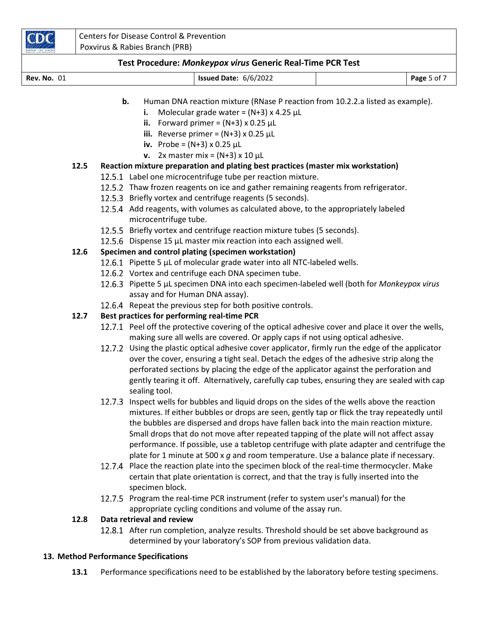

# **b.** Human DNA reaction mixture (RNase P reaction from 10.2.2.a listed as example).

- i. Molecular grade water =  $(N+3)$  x 4.25 µL
- ii. Forward primer =  $(N+3) \times 0.25 \mu L$
- iii. Reverse primer =  $(N+3) \times 0.25 \mu L$
- iv. Probe =  $(N+3) \times 0.25 \mu L$
- v.  $2x$  master mix = (N+3) x 10 µL

# 12.5 Reaction mixture preparation and plating best practices (master mix workstation)

- 12.5.1 Label one microcentrifuge tube per reaction mixture.
- 12.5.2 Thaw frozen reagents on ice and gather remaining reagents from refrigerator.
- 12.5.3 Briefly vortex and centrifuge reagents (5 seconds).
- 12.5.4 Add reagents, with volumes as calculated above, to the appropriately labeled microcentrifuge tube.
- 12.5.5 Briefly vortex and centrifuge reaction mixture tubes (5 seconds).
- 12.5.6 Dispense 15  $\mu$ L master mix reaction into each assigned well.

# 12.6 Specimen and control plating (specimen workstation)

- 12.6.1 Pipette 5  $\mu$ L of molecular grade water into all NTC-labeled wells.
- 12.6.2 Vortex and centrifuge each DNA specimen tube.
- 12.6.3 Pipette 5 µL specimen DNA into each specimen-labeled well (both for Monkeypox virus assay and for Human DNA assay).
- 12.6.4 Repeat the previous step for both positive controls.

# 12.7 Best practices for performing real-time PCR

- 12.7.1 Peel off the protective covering of the optical adhesive cover and place it over the wells, making sure all wells are covered. Or apply caps if not using optical adhesive.
- Using the plastic optical adhesive cover applicator, firmly run the edge of the applicator over the cover, ensuring a tight seal. Detach the edges of the adhesive strip along the perforated sections by placing the edge of the applicator against the perforation and gently tearing it off. Alternatively, carefully cap tubes, ensuring they are sealed with cap sealing tool.
- 12.7.3 Inspect wells for bubbles and liquid drops on the sides of the wells above the reaction mixtures. If either bubbles or drops are seen, gently tap or flick the tray repeatedly until the bubbles are dispersed and drops have fallen back into the main reaction mixture. Small drops that do not move after repeated tapping of the plate will not affect assay performance. If possible, use a tabletop centrifuge with plate adapter and centrifuge the plate for 1 minute at 500 x g and room temperature. Use a balance plate if necessary.
- 12.7.4 Place the reaction plate into the specimen block of the real-time thermocycler. Make certain that plate orientation is correct, and that the tray is fully inserted into the specimen block.
- 12.7.5 Program the real-time PCR instrument (refer to system user's manual) for the appropriate cycling conditions and volume of the assay run.

## 12.8 Data retrieval and review

12.8.1 After run completion, analyze results. Threshold should be set above background as determined by your laboratory's SOP from previous validation data.

# 13. Method Performance Specifications

13.1 Performance specifications need to be established by the laboratory before testing specimens.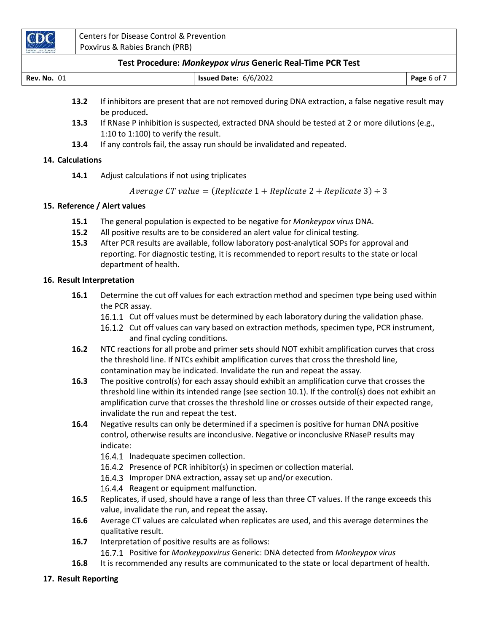

| <b>Rev. No. 01</b> | Issued Date: 6/6/2022 | Page 6 of $\overline{ }$ |
|--------------------|-----------------------|--------------------------|
|                    |                       |                          |

- 13.2 If inhibitors are present that are not removed during DNA extraction, a false negative result may be produced.
- 13.3 If RNase P inhibition is suspected, extracted DNA should be tested at 2 or more dilutions (e.g., 1:10 to 1:100) to verify the result.
- 13.4 If any controls fail, the assay run should be invalidated and repeated.

## 14. Calculations

14.1 Adjust calculations if not using triplicates

Average CT value = (Replicate  $1 + \text{Replicate } 2 + \text{Replicate } 3) \div 3$ 

#### 15. Reference / Alert values

- 15.1 The general population is expected to be negative for Monkeypox virus DNA.
- 15.2 All positive results are to be considered an alert value for clinical testing.
- 15.3 After PCR results are available, follow laboratory post-analytical SOPs for approval and reporting. For diagnostic testing, it is recommended to report results to the state or local department of health.

#### 16. Result Interpretation

- 16.1 Determine the cut off values for each extraction method and specimen type being used within the PCR assay.
	- 16.1.1 Cut off values must be determined by each laboratory during the validation phase.
	- 16.1.2 Cut off values can vary based on extraction methods, specimen type, PCR instrument, and final cycling conditions.
- 16.2 NTC reactions for all probe and primer sets should NOT exhibit amplification curves that cross the threshold line. If NTCs exhibit amplification curves that cross the threshold line, contamination may be indicated. Invalidate the run and repeat the assay.
- **16.3** The positive control(s) for each assay should exhibit an amplification curve that crosses the threshold line within its intended range (see section 10.1). If the control(s) does not exhibit an amplification curve that crosses the threshold line or crosses outside of their expected range, invalidate the run and repeat the test.
- 16.4 Negative results can only be determined if a specimen is positive for human DNA positive control, otherwise results are inconclusive. Negative or inconclusive RNaseP results may indicate:
	- 16.4.1 Inadequate specimen collection.
	- 16.4.2 Presence of PCR inhibitor(s) in specimen or collection material.
	- 16.4.3 Improper DNA extraction, assay set up and/or execution.
	- 16.4.4 Reagent or equipment malfunction.
- 16.5 Replicates, if used, should have a range of less than three CT values. If the range exceeds this value, invalidate the run, and repeat the assay.
- **16.6** Average CT values are calculated when replicates are used, and this average determines the qualitative result.
- 16.7 Interpretation of positive results are as follows:
	- 16.7.1 Positive for Monkeypoxvirus Generic: DNA detected from Monkeypox virus
- 16.8 It is recommended any results are communicated to the state or local department of health.

#### 17. Result Reporting